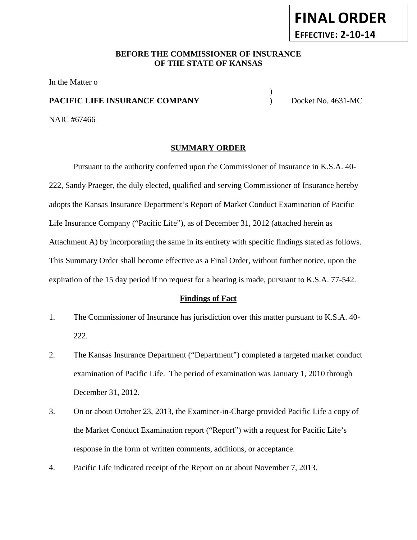### **BEFORE THE COMMISSIONER OF INSURANCE OF THE STATE OF KANSAS**

In the Matter o

### **PACIFIC LIFE INSURANCE COMPANY** Docket No. 4631-MC

)

NAIC #67466

### **SUMMARY ORDER**

Pursuant to the authority conferred upon the Commissioner of Insurance in K.S.A. 40- 222, Sandy Praeger, the duly elected, qualified and serving Commissioner of Insurance hereby adopts the Kansas Insurance Department's Report of Market Conduct Examination of Pacific Life Insurance Company ("Pacific Life"), as of December 31, 2012 (attached herein as Attachment A) by incorporating the same in its entirety with specific findings stated as follows. This Summary Order shall become effective as a Final Order, without further notice, upon the expiration of the 15 day period if no request for a hearing is made, pursuant to K.S.A. 77-542.

### **Findings of Fact**

- 1. The Commissioner of Insurance has jurisdiction over this matter pursuant to K.S.A. 40- 222.
- 2. The Kansas Insurance Department ("Department") completed a targeted market conduct examination of Pacific Life. The period of examination was January 1, 2010 through December 31, 2012.
- 3. On or about October 23, 2013, the Examiner-in-Charge provided Pacific Life a copy of the Market Conduct Examination report ("Report") with a request for Pacific Life's response in the form of written comments, additions, or acceptance.
- 4. Pacific Life indicated receipt of the Report on or about November 7, 2013.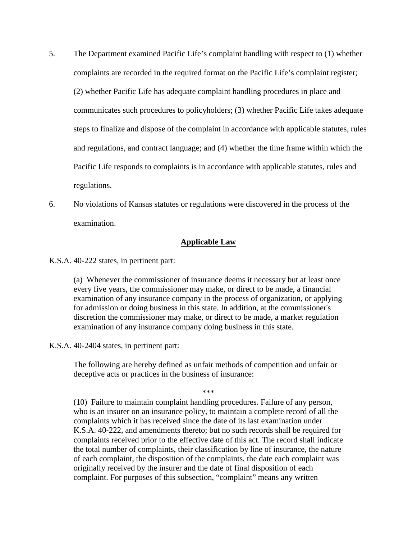- 5. The Department examined Pacific Life's complaint handling with respect to (1) whether complaints are recorded in the required format on the Pacific Life's complaint register; (2) whether Pacific Life has adequate complaint handling procedures in place and communicates such procedures to policyholders; (3) whether Pacific Life takes adequate steps to finalize and dispose of the complaint in accordance with applicable statutes, rules and regulations, and contract language; and (4) whether the time frame within which the Pacific Life responds to complaints is in accordance with applicable statutes, rules and regulations.
- 6. No violations of Kansas statutes or regulations were discovered in the process of the examination.

#### **Applicable Law**

K.S.A. 40-222 states, in pertinent part:

(a) Whenever the commissioner of insurance deems it necessary but at least once every five years, the commissioner may make, or direct to be made, a financial examination of any insurance company in the process of organization, or applying for admission or doing business in this state. In addition, at the commissioner's discretion the commissioner may make, or direct to be made, a market regulation examination of any insurance company doing business in this state.

K.S.A. 40-2404 states, in pertinent part:

The following are hereby defined as unfair methods of competition and unfair or deceptive acts or practices in the business of insurance:

\*\*\*

(10) Failure to maintain complaint handling procedures. Failure of any person, who is an insurer on an insurance policy, to maintain a complete record of all the complaints which it has received since the date of its last examination under K.S.A. 40-222, and amendments thereto; but no such records shall be required for complaints received prior to the effective date of this act. The record shall indicate the total number of complaints, their classification by line of insurance, the nature of each complaint, the disposition of the complaints, the date each complaint was originally received by the insurer and the date of final disposition of each complaint. For purposes of this subsection, "complaint" means any written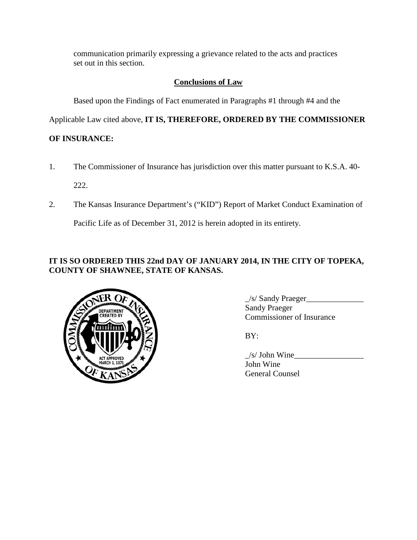communication primarily expressing a grievance related to the acts and practices set out in this section.

# **Conclusions of Law**

Based upon the Findings of Fact enumerated in Paragraphs #1 through #4 and the

Applicable Law cited above, **IT IS, THEREFORE, ORDERED BY THE COMMISSIONER** 

# **OF INSURANCE:**

- 1. The Commissioner of Insurance has jurisdiction over this matter pursuant to K.S.A. 40- 222.
- 2. The Kansas Insurance Department's ("KID") Report of Market Conduct Examination of

Pacific Life as of December 31, 2012 is herein adopted in its entirety.

## **IT IS SO ORDERED THIS 22nd DAY OF JANUARY 2014, IN THE CITY OF TOPEKA, COUNTY OF SHAWNEE, STATE OF KANSAS.**



\_/s/ Sandy Praeger\_\_\_\_\_\_\_\_\_\_\_\_\_\_ Sandy Praeger Commissioner of Insurance

BY:

 $\angle$ s/ John Wine $\angle$ John Wine General Counsel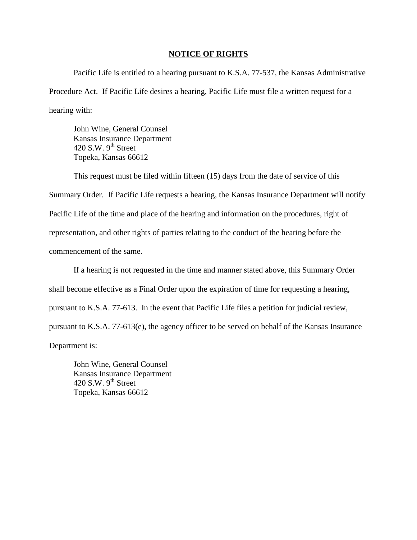#### **NOTICE OF RIGHTS**

Pacific Life is entitled to a hearing pursuant to K.S.A. 77-537, the Kansas Administrative Procedure Act. If Pacific Life desires a hearing, Pacific Life must file a written request for a hearing with:

John Wine, General Counsel Kansas Insurance Department 420 S.W.  $9^{th}$  Street Topeka, Kansas 66612

This request must be filed within fifteen (15) days from the date of service of this Summary Order. If Pacific Life requests a hearing, the Kansas Insurance Department will notify Pacific Life of the time and place of the hearing and information on the procedures, right of representation, and other rights of parties relating to the conduct of the hearing before the commencement of the same.

If a hearing is not requested in the time and manner stated above, this Summary Order shall become effective as a Final Order upon the expiration of time for requesting a hearing, pursuant to K.S.A. 77-613. In the event that Pacific Life files a petition for judicial review, pursuant to K.S.A. 77-613(e), the agency officer to be served on behalf of the Kansas Insurance Department is:

John Wine, General Counsel Kansas Insurance Department 420 S.W.  $9<sup>th</sup>$  Street Topeka, Kansas 66612